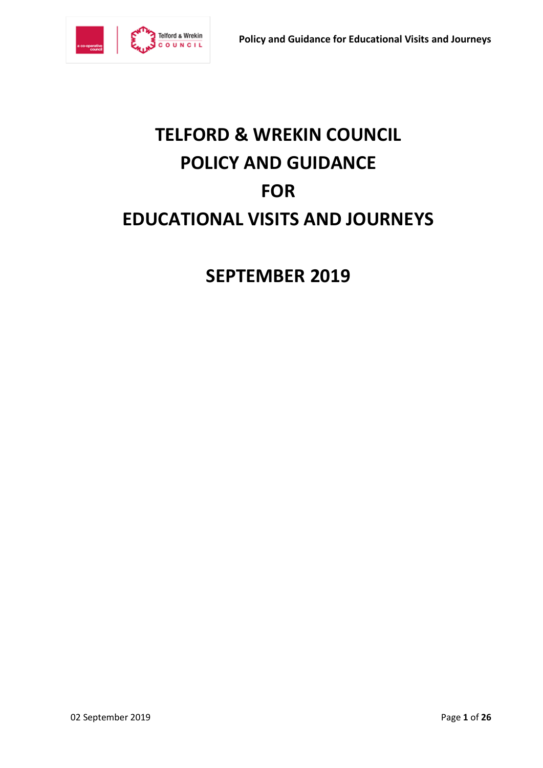

# **TELFORD & WREKIN COUNCIL POLICY AND GUIDANCE FOR EDUCATIONAL VISITS AND JOURNEYS**

**SEPTEMBER 2019**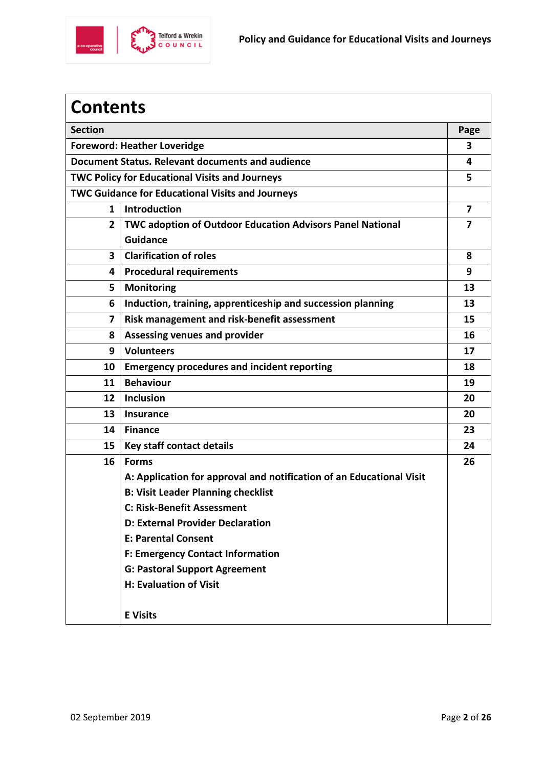

| <b>Contents</b>                                         |                                                                      |                |  |  |
|---------------------------------------------------------|----------------------------------------------------------------------|----------------|--|--|
| <b>Section</b>                                          |                                                                      |                |  |  |
| <b>Foreword: Heather Loveridge</b>                      |                                                                      |                |  |  |
| Document Status. Relevant documents and audience        |                                                                      |                |  |  |
| <b>TWC Policy for Educational Visits and Journeys</b>   |                                                                      |                |  |  |
| <b>TWC Guidance for Educational Visits and Journeys</b> |                                                                      |                |  |  |
| $\mathbf{1}$                                            | <b>Introduction</b>                                                  | $\overline{7}$ |  |  |
| $\overline{2}$                                          | TWC adoption of Outdoor Education Advisors Panel National            | 7              |  |  |
|                                                         | <b>Guidance</b>                                                      |                |  |  |
| $\mathbf{3}$                                            | <b>Clarification of roles</b>                                        | 8              |  |  |
| 4                                                       | <b>Procedural requirements</b>                                       | 9              |  |  |
| 5                                                       | <b>Monitoring</b>                                                    | 13             |  |  |
| 6                                                       | Induction, training, apprenticeship and succession planning          | 13             |  |  |
| $\overline{7}$                                          | Risk management and risk-benefit assessment                          | 15             |  |  |
| 8                                                       | <b>Assessing venues and provider</b>                                 | 16             |  |  |
| 9                                                       | <b>Volunteers</b>                                                    | 17             |  |  |
| 10                                                      | <b>Emergency procedures and incident reporting</b>                   | 18             |  |  |
| 11                                                      | <b>Behaviour</b>                                                     | 19             |  |  |
| 12                                                      | <b>Inclusion</b>                                                     | 20             |  |  |
| 13                                                      | <b>Insurance</b>                                                     | 20             |  |  |
| 14                                                      | <b>Finance</b>                                                       | 23             |  |  |
| 15                                                      | Key staff contact details                                            | 24             |  |  |
| 16                                                      | <b>Forms</b>                                                         | 26             |  |  |
|                                                         | A: Application for approval and notification of an Educational Visit |                |  |  |
|                                                         | <b>B: Visit Leader Planning checklist</b>                            |                |  |  |
|                                                         | <b>C: Risk-Benefit Assessment</b>                                    |                |  |  |
|                                                         | <b>D: External Provider Declaration</b>                              |                |  |  |
|                                                         | <b>E: Parental Consent</b>                                           |                |  |  |
|                                                         | <b>F: Emergency Contact Information</b>                              |                |  |  |
|                                                         | <b>G: Pastoral Support Agreement</b>                                 |                |  |  |
|                                                         | H: Evaluation of Visit                                               |                |  |  |
|                                                         | <b>E</b> Visits                                                      |                |  |  |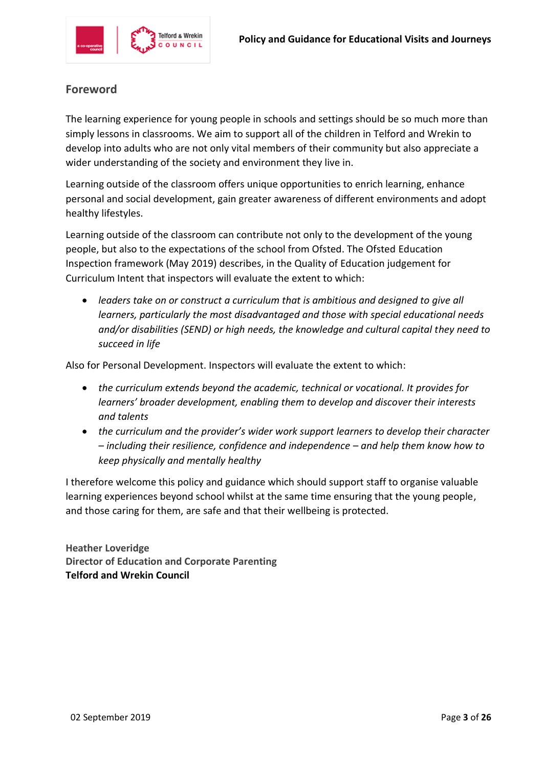

# **Foreword**

The learning experience for young people in schools and settings should be so much more than simply lessons in classrooms. We aim to support all of the children in Telford and Wrekin to develop into adults who are not only vital members of their community but also appreciate a wider understanding of the society and environment they live in.

Learning outside of the classroom offers unique opportunities to enrich learning, enhance personal and social development, gain greater awareness of different environments and adopt healthy lifestyles.

Learning outside of the classroom can contribute not only to the development of the young people, but also to the expectations of the school from Ofsted. The Ofsted Education Inspection framework (May 2019) describes, in the Quality of Education judgement for Curriculum Intent that inspectors will evaluate the extent to which:

• *leaders take on or construct a curriculum that is ambitious and designed to give all learners, particularly the most disadvantaged and those with special educational needs and/or disabilities (SEND) or high needs, the knowledge and cultural capital they need to succeed in life* 

Also for Personal Development. Inspectors will evaluate the extent to which:

- *the curriculum extends beyond the academic, technical or vocational. It provides for learners' broader development, enabling them to develop and discover their interests and talents*
- *the curriculum and the provider's wider work support learners to develop their character – including their resilience, confidence and independence – and help them know how to keep physically and mentally healthy*

I therefore welcome this policy and guidance which should support staff to organise valuable learning experiences beyond school whilst at the same time ensuring that the young people, and those caring for them, are safe and that their wellbeing is protected.

**Heather Loveridge Director of Education and Corporate Parenting Telford and Wrekin Council**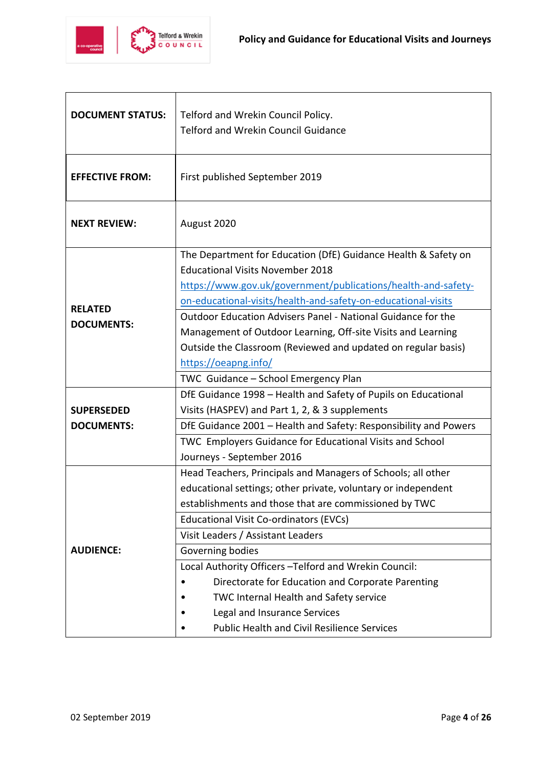

| <b>DOCUMENT STATUS:</b> | Telford and Wrekin Council Policy.                                                                        |  |  |  |
|-------------------------|-----------------------------------------------------------------------------------------------------------|--|--|--|
|                         | <b>Telford and Wrekin Council Guidance</b>                                                                |  |  |  |
| <b>EFFECTIVE FROM:</b>  | First published September 2019                                                                            |  |  |  |
| <b>NEXT REVIEW:</b>     | August 2020                                                                                               |  |  |  |
|                         | The Department for Education (DfE) Guidance Health & Safety on<br><b>Educational Visits November 2018</b> |  |  |  |
|                         | https://www.gov.uk/government/publications/health-and-safety-                                             |  |  |  |
|                         | on-educational-visits/health-and-safety-on-educational-visits                                             |  |  |  |
| <b>RELATED</b>          | Outdoor Education Advisers Panel - National Guidance for the                                              |  |  |  |
| <b>DOCUMENTS:</b>       | Management of Outdoor Learning, Off-site Visits and Learning                                              |  |  |  |
|                         | Outside the Classroom (Reviewed and updated on regular basis)                                             |  |  |  |
|                         | https://oeapng.info/                                                                                      |  |  |  |
|                         | TWC Guidance - School Emergency Plan                                                                      |  |  |  |
|                         | DfE Guidance 1998 - Health and Safety of Pupils on Educational                                            |  |  |  |
| <b>SUPERSEDED</b>       | Visits (HASPEV) and Part 1, 2, & 3 supplements                                                            |  |  |  |
| <b>DOCUMENTS:</b>       | DfE Guidance 2001 - Health and Safety: Responsibility and Powers                                          |  |  |  |
|                         | TWC Employers Guidance for Educational Visits and School                                                  |  |  |  |
|                         | Journeys - September 2016                                                                                 |  |  |  |
|                         | Head Teachers, Principals and Managers of Schools; all other                                              |  |  |  |
|                         | educational settings; other private, voluntary or independent                                             |  |  |  |
|                         | establishments and those that are commissioned by TWC                                                     |  |  |  |
|                         | Educational Visit Co-ordinators (EVCs)                                                                    |  |  |  |
|                         | Visit Leaders / Assistant Leaders                                                                         |  |  |  |
| <b>AUDIENCE:</b>        | Governing bodies                                                                                          |  |  |  |
|                         | Local Authority Officers - Telford and Wrekin Council:                                                    |  |  |  |
|                         | Directorate for Education and Corporate Parenting                                                         |  |  |  |
|                         | TWC Internal Health and Safety service                                                                    |  |  |  |
|                         | Legal and Insurance Services                                                                              |  |  |  |
|                         | <b>Public Health and Civil Resilience Services</b>                                                        |  |  |  |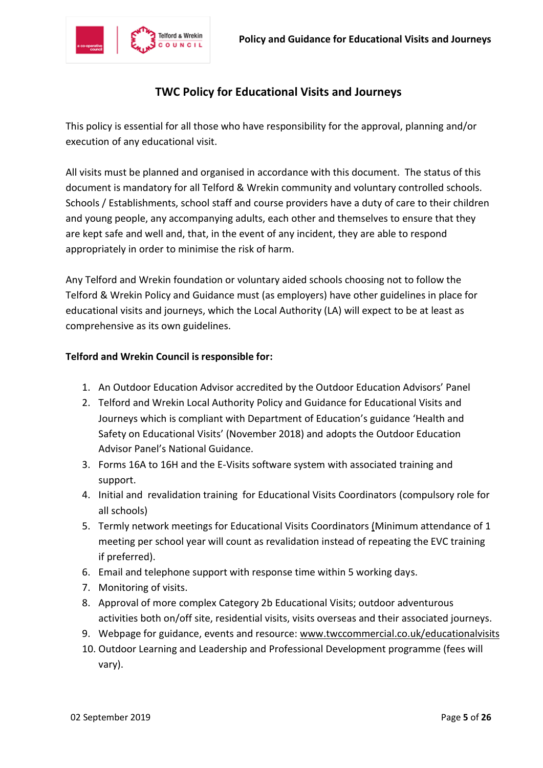

# **TWC Policy for Educational Visits and Journeys**

This policy is essential for all those who have responsibility for the approval, planning and/or execution of any educational visit.

All visits must be planned and organised in accordance with this document. The status of this document is mandatory for all Telford & Wrekin community and voluntary controlled schools. Schools / Establishments, school staff and course providers have a duty of care to their children and young people, any accompanying adults, each other and themselves to ensure that they are kept safe and well and, that, in the event of any incident, they are able to respond appropriately in order to minimise the risk of harm.

Any Telford and Wrekin foundation or voluntary aided schools choosing not to follow the Telford & Wrekin Policy and Guidance must (as employers) have other guidelines in place for educational visits and journeys, which the Local Authority (LA) will expect to be at least as comprehensive as its own guidelines.

#### **Telford and Wrekin Council is responsible for:**

- 1. An Outdoor Education Advisor accredited by the Outdoor Education Advisors' Panel
- 2. Telford and Wrekin Local Authority Policy and Guidance for Educational Visits and Journeys which is compliant with Department of Education's guidance 'Health and Safety on Educational Visits' (November 2018) and adopts the Outdoor Education Advisor Panel's National Guidance.
- 3. Forms 16A to 16H and the E-Visits software system with associated training and support.
- 4. Initial and revalidation training for Educational Visits Coordinators (compulsory role for all schools)
- 5. Termly network meetings for Educational Visits Coordinators (Minimum attendance of 1 meeting per school year will count as revalidation instead of repeating the EVC training if preferred).
- 6. Email and telephone support with response time within 5 working days.
- 7. Monitoring of visits.
- 8. Approval of more complex Category 2b Educational Visits; outdoor adventurous activities both on/off site, residential visits, visits overseas and their associated journeys.
- 9. Webpage for guidance, events and resource: [www.twccommercial.co.uk/educationalvisits](http://www.twccommercial.co.uk/educationalvisits)
- 10. Outdoor Learning and Leadership and Professional Development programme (fees will vary).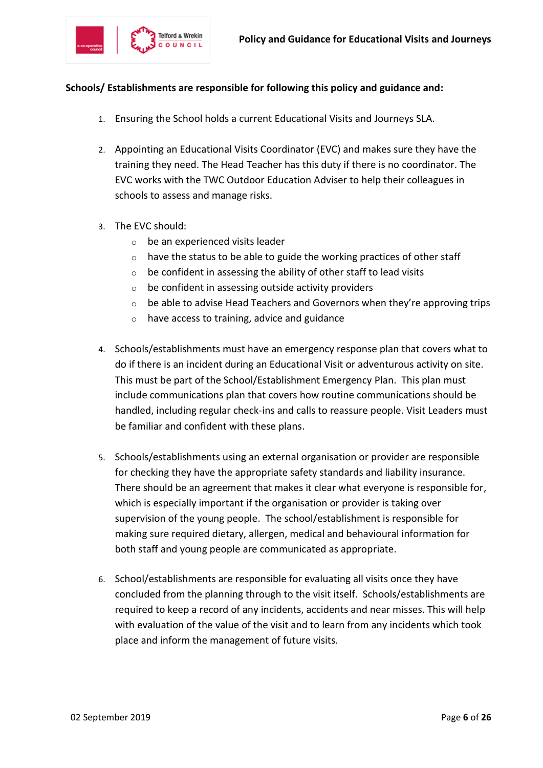

#### **Schools/ Establishments are responsible for following this policy and guidance and:**

- 1. Ensuring the School holds a current Educational Visits and Journeys SLA.
- 2. Appointing an Educational Visits Coordinator (EVC) and makes sure they have the training they need. The Head Teacher has this duty if there is no coordinator. The EVC works with the TWC Outdoor Education Adviser to help their colleagues in schools to assess and manage risks.
- 3. The EVC should:
	- o be an experienced visits leader
	- $\circ$  have the status to be able to guide the working practices of other staff
	- $\circ$  be confident in assessing the ability of other staff to lead visits
	- o be confident in assessing outside activity providers
	- $\circ$  be able to advise Head Teachers and Governors when they're approving trips
	- $\circ$  have access to training, advice and guidance
- 4. Schools/establishments must have an emergency response plan that covers what to do if there is an incident during an Educational Visit or adventurous activity on site. This must be part of the School/Establishment Emergency Plan. This plan must include communications plan that covers how routine communications should be handled, including regular check-ins and calls to reassure people. Visit Leaders must be familiar and confident with these plans.
- 5. Schools/establishments using an external organisation or provider are responsible for checking they have the appropriate safety standards and liability insurance. There should be an agreement that makes it clear what everyone is responsible for, which is especially important if the organisation or provider is taking over supervision of the young people. The school/establishment is responsible for making sure required dietary, allergen, medical and behavioural information for both staff and young people are communicated as appropriate.
- 6. School/establishments are responsible for evaluating all visits once they have concluded from the planning through to the visit itself. Schools/establishments are required to keep a record of any incidents, accidents and near misses. This will help with evaluation of the value of the visit and to learn from any incidents which took place and inform the management of future visits.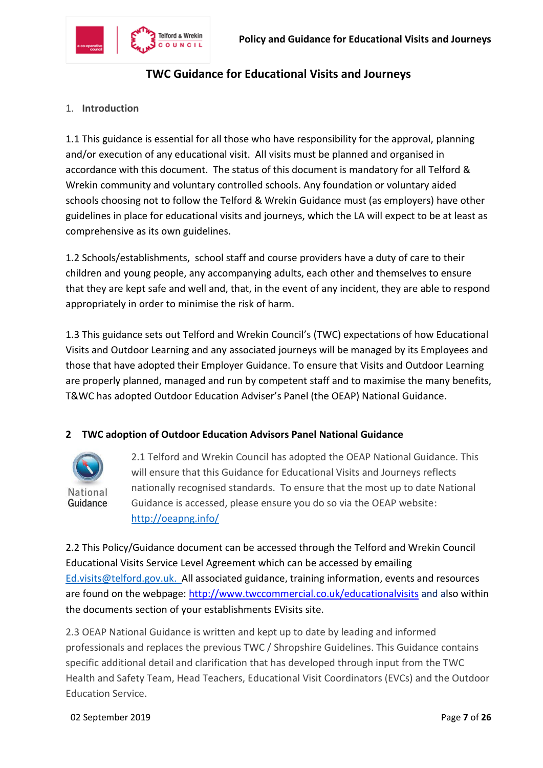

# **TWC Guidance for Educational Visits and Journeys**

## 1. **Introduction**

1.1 This guidance is essential for all those who have responsibility for the approval, planning and/or execution of any educational visit. All visits must be planned and organised in accordance with this document. The status of this document is mandatory for all Telford & Wrekin community and voluntary controlled schools. Any foundation or voluntary aided schools choosing not to follow the Telford & Wrekin Guidance must (as employers) have other guidelines in place for educational visits and journeys, which the LA will expect to be at least as comprehensive as its own guidelines.

1.2 Schools/establishments, school staff and course providers have a duty of care to their children and young people, any accompanying adults, each other and themselves to ensure that they are kept safe and well and, that, in the event of any incident, they are able to respond appropriately in order to minimise the risk of harm.

1.3 This guidance sets out Telford and Wrekin Council's (TWC) expectations of how Educational Visits and Outdoor Learning and any associated journeys will be managed by its Employees and those that have adopted their Employer Guidance. To ensure that Visits and Outdoor Learning are properly planned, managed and run by competent staff and to maximise the many benefits, T&WC has adopted Outdoor Education Adviser's Panel (the OEAP) National Guidance.

# **2 TWC adoption of Outdoor Education Advisors Panel National Guidance**



2.1 Telford and Wrekin Council has adopted the OEAP National Guidance. This will ensure that this Guidance for Educational Visits and Journeys reflects nationally recognised standards. To ensure that the most up to date National Guidance is accessed, please ensure you do so via the OEAP website: <http://oeapng.info/>

2.2 This Policy/Guidance document can be accessed through the Telford and Wrekin Council Educational Visits Service Level Agreement which can be accessed by emailing [Ed.visits@telford.gov.uk.](mailto:Ed.visits@telford.gov.uk) All associated guidance, training information, events and resources are found on the webpage: <http://www.twccommercial.co.uk/educationalvisits> and also within the documents section of your establishments EVisits site.

2.3 OEAP National Guidance is written and kept up to date by leading and informed professionals and replaces the previous TWC / Shropshire Guidelines. This Guidance contains specific additional detail and clarification that has developed through input from the TWC Health and Safety Team, Head Teachers, Educational Visit Coordinators (EVCs) and the Outdoor Education Service.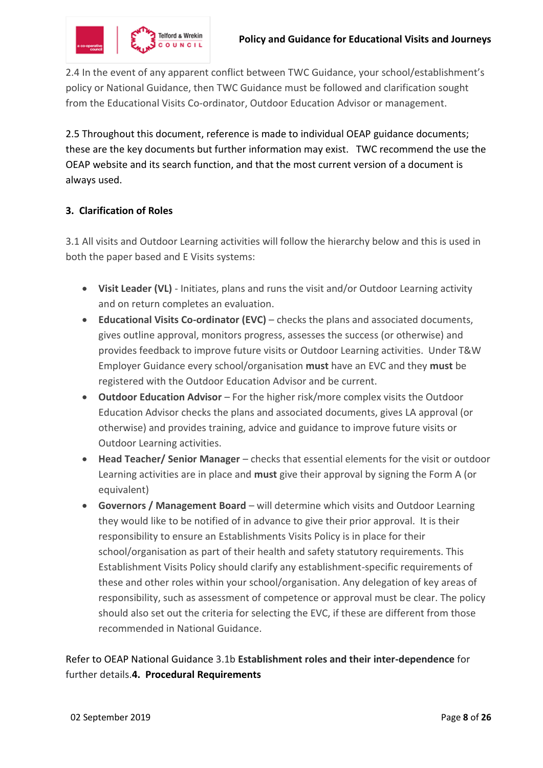

2.4 In the event of any apparent conflict between TWC Guidance, your school/establishment's policy or National Guidance, then TWC Guidance must be followed and clarification sought from the Educational Visits Co-ordinator, Outdoor Education Advisor or management.

2.5 Throughout this document, reference is made to individual OEAP guidance documents; these are the key documents but further information may exist. TWC recommend the use the OEAP website and its search function, and that the most current version of a document is always used.

# **3. Clarification of Roles**

3.1 All visits and Outdoor Learning activities will follow the hierarchy below and this is used in both the paper based and E Visits systems:

- **Visit Leader (VL)** Initiates, plans and runs the visit and/or Outdoor Learning activity and on return completes an evaluation.
- **Educational Visits Co-ordinator (EVC)** checks the plans and associated documents, gives outline approval, monitors progress, assesses the success (or otherwise) and provides feedback to improve future visits or Outdoor Learning activities. Under T&W Employer Guidance every school/organisation **must** have an EVC and they **must** be registered with the Outdoor Education Advisor and be current.
- **Outdoor Education Advisor** For the higher risk/more complex visits the Outdoor Education Advisor checks the plans and associated documents, gives LA approval (or otherwise) and provides training, advice and guidance to improve future visits or Outdoor Learning activities.
- **Head Teacher/ Senior Manager** checks that essential elements for the visit or outdoor Learning activities are in place and **must** give their approval by signing the Form A (or equivalent)
- **Governors / Management Board** will determine which visits and Outdoor Learning they would like to be notified of in advance to give their prior approval. It is their responsibility to ensure an Establishments Visits Policy is in place for their school/organisation as part of their health and safety statutory requirements. This Establishment Visits Policy should clarify any establishment-specific requirements of these and other roles within your school/organisation. Any delegation of key areas of responsibility, such as assessment of competence or approval must be clear. The policy should also set out the criteria for selecting the EVC, if these are different from those recommended in National Guidance.

Refer to OEAP National Guidance 3.1b **Establishment roles and their inter-dependence** for further details.**4. Procedural Requirements**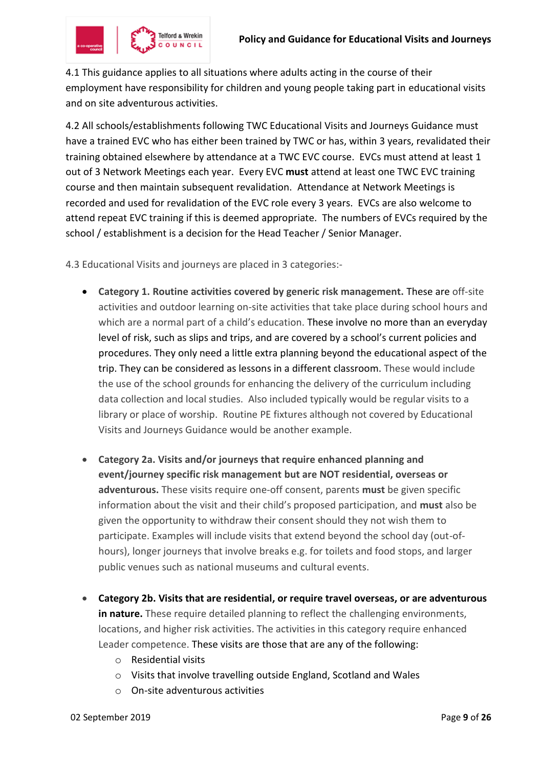

4.1 This guidance applies to all situations where adults acting in the course of their employment have responsibility for children and young people taking part in educational visits and on site adventurous activities.

4.2 All schools/establishments following TWC Educational Visits and Journeys Guidance must have a trained EVC who has either been trained by TWC or has, within 3 years, revalidated their training obtained elsewhere by attendance at a TWC EVC course. EVCs must attend at least 1 out of 3 Network Meetings each year. Every EVC **must** attend at least one TWC EVC training course and then maintain subsequent revalidation. Attendance at Network Meetings is recorded and used for revalidation of the EVC role every 3 years. EVCs are also welcome to attend repeat EVC training if this is deemed appropriate. The numbers of EVCs required by the school / establishment is a decision for the Head Teacher / Senior Manager.

4.3 Educational Visits and journeys are placed in 3 categories:-

- **Category 1. Routine activities covered by generic risk management.** These are off-site activities and outdoor learning on-site activities that take place during school hours and which are a normal part of a child's education. These involve no more than an everyday level of risk, such as slips and trips, and are covered by a school's current policies and procedures. They only need a little extra planning beyond the educational aspect of the trip. They can be considered as lessons in a different classroom. These would include the use of the school grounds for enhancing the delivery of the curriculum including data collection and local studies. Also included typically would be regular visits to a library or place of worship. Routine PE fixtures although not covered by Educational Visits and Journeys Guidance would be another example.
- **Category 2a. Visits and/or journeys that require enhanced planning and event/journey specific risk management but are NOT residential, overseas or adventurous.** These visits require one-off consent, parents **must** be given specific information about the visit and their child's proposed participation, and **must** also be given the opportunity to withdraw their consent should they not wish them to participate. Examples will include visits that extend beyond the school day (out-ofhours), longer journeys that involve breaks e.g. for toilets and food stops, and larger public venues such as national museums and cultural events.
- **Category 2b. Visits that are residential, or require travel overseas, or are adventurous in nature.** These require detailed planning to reflect the challenging environments, locations, and higher risk activities. The activities in this category require enhanced Leader competence. These visits are those that are any of the following:
	- o Residential visits
	- o Visits that involve travelling outside England, Scotland and Wales
	- o On-site adventurous activities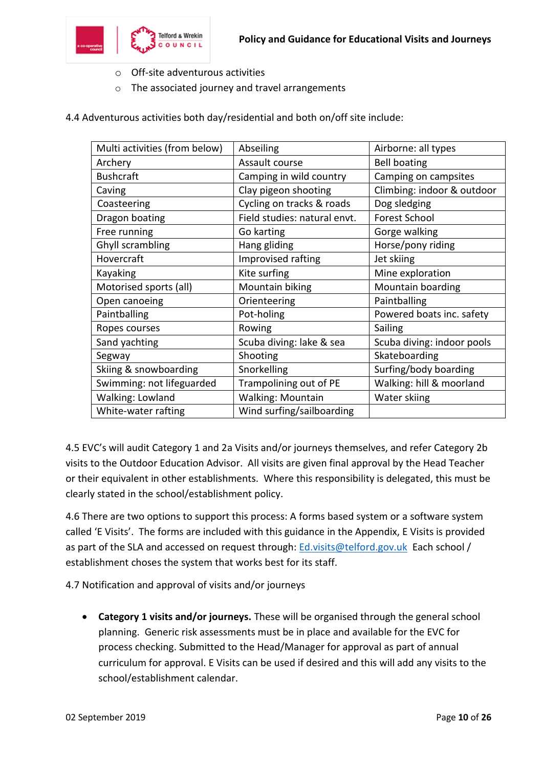

- o Off-site adventurous activities
- o The associated journey and travel arrangements
- 4.4 Adventurous activities both day/residential and both on/off site include:

| Multi activities (from below) | Abseiling                    | Airborne: all types        |
|-------------------------------|------------------------------|----------------------------|
| Archery                       | Assault course               | <b>Bell boating</b>        |
| <b>Bushcraft</b>              | Camping in wild country      | Camping on campsites       |
| Caving                        | Clay pigeon shooting         | Climbing: indoor & outdoor |
| Coasteering                   | Cycling on tracks & roads    | Dog sledging               |
| Dragon boating                | Field studies: natural envt. | <b>Forest School</b>       |
| Free running                  | Go karting                   | Gorge walking              |
| Ghyll scrambling              | Hang gliding                 | Horse/pony riding          |
| Hovercraft                    | Improvised rafting           | Jet skiing                 |
| Kayaking                      | Kite surfing                 | Mine exploration           |
| Motorised sports (all)        | Mountain biking              | Mountain boarding          |
| Open canoeing                 | Orienteering                 | Paintballing               |
| Paintballing                  | Pot-holing                   | Powered boats inc. safety  |
| Ropes courses                 | Rowing                       | Sailing                    |
| Sand yachting                 | Scuba diving: lake & sea     | Scuba diving: indoor pools |
| Segway                        | Shooting                     | Skateboarding              |
| Skiing & snowboarding         | Snorkelling                  | Surfing/body boarding      |
| Swimming: not lifeguarded     | Trampolining out of PE       | Walking: hill & moorland   |
| Walking: Lowland              | <b>Walking: Mountain</b>     | Water skiing               |
| White-water rafting           | Wind surfing/sailboarding    |                            |

4.5 EVC's will audit Category 1 and 2a Visits and/or journeys themselves, and refer Category 2b visits to the Outdoor Education Advisor. All visits are given final approval by the Head Teacher or their equivalent in other establishments. Where this responsibility is delegated, this must be clearly stated in the school/establishment policy.

4.6 There are two options to support this process: A forms based system or a software system called 'E Visits'. The forms are included with this guidance in the Appendix, E Visits is provided as part of the SLA and accessed on request through: [Ed.visits@telford.gov.uk](mailto:Ed.visits@telford.gov.uk) Each school / establishment choses the system that works best for its staff.

4.7 Notification and approval of visits and/or journeys

• **Category 1 visits and/or journeys.** These will be organised through the general school planning. Generic risk assessments must be in place and available for the EVC for process checking. Submitted to the Head/Manager for approval as part of annual curriculum for approval. E Visits can be used if desired and this will add any visits to the school/establishment calendar.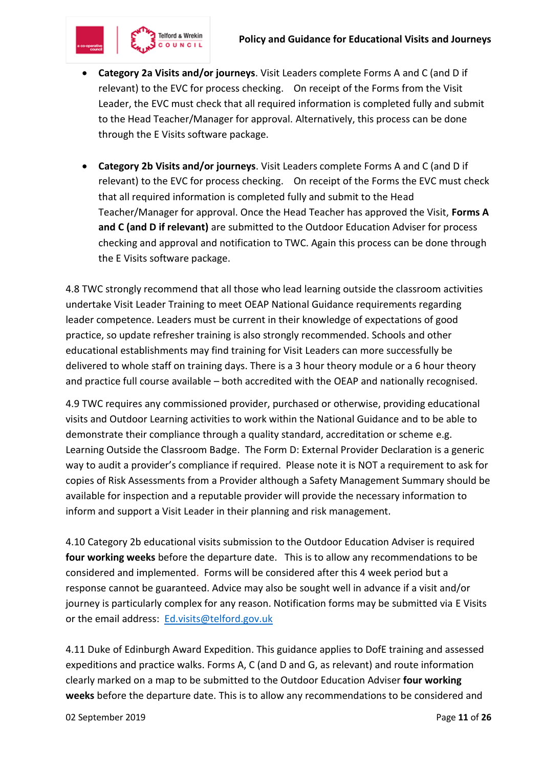

- **Category 2a Visits and/or journeys**. Visit Leaders complete Forms A and C (and D if relevant) to the EVC for process checking. On receipt of the Forms from the Visit Leader, the EVC must check that all required information is completed fully and submit to the Head Teacher/Manager for approval. Alternatively, this process can be done through the E Visits software package.
- **Category 2b Visits and/or journeys**. Visit Leaders complete Forms A and C (and D if relevant) to the EVC for process checking. On receipt of the Forms the EVC must check that all required information is completed fully and submit to the Head Teacher/Manager for approval. Once the Head Teacher has approved the Visit, **Forms A and C (and D if relevant)** are submitted to the Outdoor Education Adviser for process checking and approval and notification to TWC. Again this process can be done through the E Visits software package.

4.8 TWC strongly recommend that all those who lead learning outside the classroom activities undertake Visit Leader Training to meet OEAP National Guidance requirements regarding leader competence. Leaders must be current in their knowledge of expectations of good practice, so update refresher training is also strongly recommended. Schools and other educational establishments may find training for Visit Leaders can more successfully be delivered to whole staff on training days. There is a 3 hour theory module or a 6 hour theory and practice full course available – both accredited with the OEAP and nationally recognised.

4.9 TWC requires any commissioned provider, purchased or otherwise, providing educational visits and Outdoor Learning activities to work within the National Guidance and to be able to demonstrate their compliance through a quality standard, accreditation or scheme e.g. Learning Outside the Classroom Badge. The Form D: External Provider Declaration is a generic way to audit a provider's compliance if required. Please note it is NOT a requirement to ask for copies of Risk Assessments from a Provider although a Safety Management Summary should be available for inspection and a reputable provider will provide the necessary information to inform and support a Visit Leader in their planning and risk management.

4.10 Category 2b educational visits submission to the Outdoor Education Adviser is required **four working weeks** before the departure date. This is to allow any recommendations to be considered and implemented.Forms will be considered after this 4 week period but a response cannot be guaranteed. Advice may also be sought well in advance if a visit and/or journey is particularly complex for any reason. Notification forms may be submitted via E Visits or the email address: [Ed.visits@telford.gov.uk](mailto:Ed.visits@telford.gov.uk)

4.11 Duke of Edinburgh Award Expedition. This guidance applies to DofE training and assessed expeditions and practice walks. Forms A, C (and D and G, as relevant) and route information clearly marked on a map to be submitted to the Outdoor Education Adviser **four working weeks** before the departure date. This is to allow any recommendations to be considered and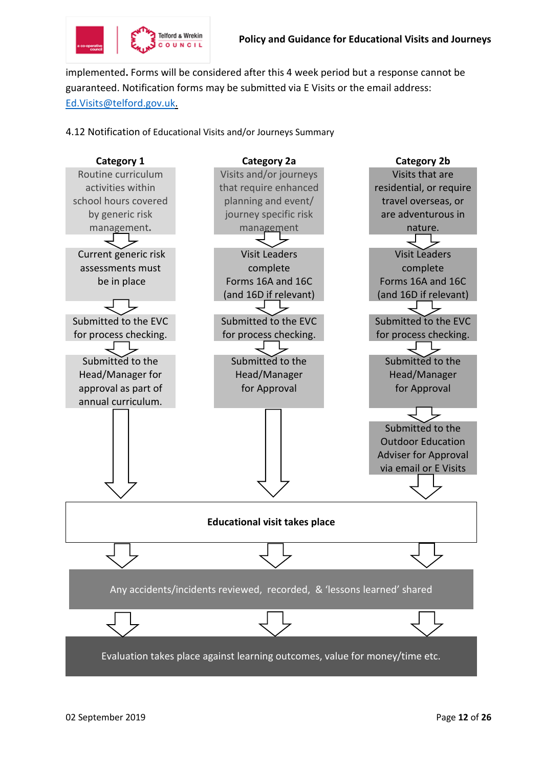

implemented**.** Forms will be considered after this 4 week period but a response cannot be guaranteed. Notification forms may be submitted via E Visits or the email address: [Ed.Visits@telford.gov.uk.](mailto:Ed.Visits@telford.gov.uk)

4.12 Notification of Educational Visits and/or Journeys Summary

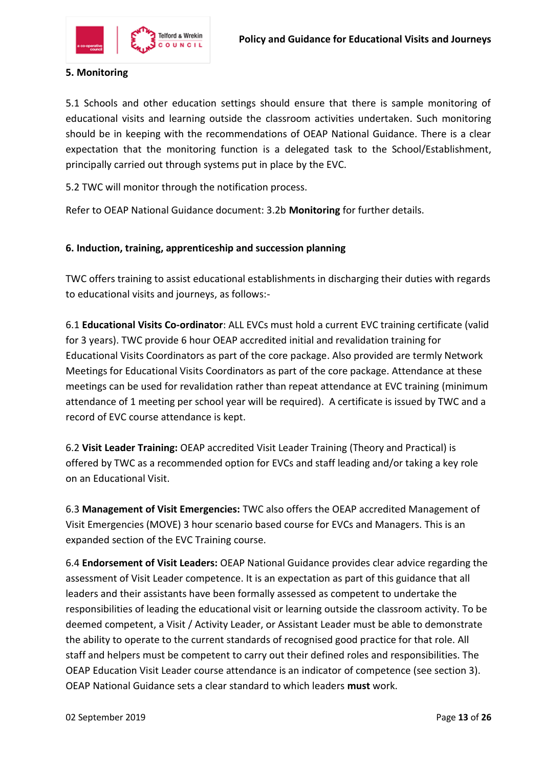

# **5. Monitoring**

5.1 Schools and other education settings should ensure that there is sample monitoring of educational visits and learning outside the classroom activities undertaken. Such monitoring should be in keeping with the recommendations of OEAP National Guidance. There is a clear expectation that the monitoring function is a delegated task to the School/Establishment, principally carried out through systems put in place by the EVC.

5.2 TWC will monitor through the notification process.

Refer to OEAP National Guidance document: 3.2b **Monitoring** for further details.

#### **6. Induction, training, apprenticeship and succession planning**

TWC offers training to assist educational establishments in discharging their duties with regards to educational visits and journeys, as follows:-

6.1 **Educational Visits Co-ordinator**: ALL EVCs must hold a current EVC training certificate (valid for 3 years). TWC provide 6 hour OEAP accredited initial and revalidation training for Educational Visits Coordinators as part of the core package. Also provided are termly Network Meetings for Educational Visits Coordinators as part of the core package. Attendance at these meetings can be used for revalidation rather than repeat attendance at EVC training (minimum attendance of 1 meeting per school year will be required). A certificate is issued by TWC and a record of EVC course attendance is kept.

6.2 **Visit Leader Training:** OEAP accredited Visit Leader Training (Theory and Practical) is offered by TWC as a recommended option for EVCs and staff leading and/or taking a key role on an Educational Visit.

6.3 **Management of Visit Emergencies:** TWC also offers the OEAP accredited Management of Visit Emergencies (MOVE) 3 hour scenario based course for EVCs and Managers. This is an expanded section of the EVC Training course.

6.4 **Endorsement of Visit Leaders:** OEAP National Guidance provides clear advice regarding the assessment of Visit Leader competence. It is an expectation as part of this guidance that all leaders and their assistants have been formally assessed as competent to undertake the responsibilities of leading the educational visit or learning outside the classroom activity. To be deemed competent, a Visit / Activity Leader, or Assistant Leader must be able to demonstrate the ability to operate to the current standards of recognised good practice for that role. All staff and helpers must be competent to carry out their defined roles and responsibilities. The OEAP Education Visit Leader course attendance is an indicator of competence (see section 3). OEAP National Guidance sets a clear standard to which leaders **must** work.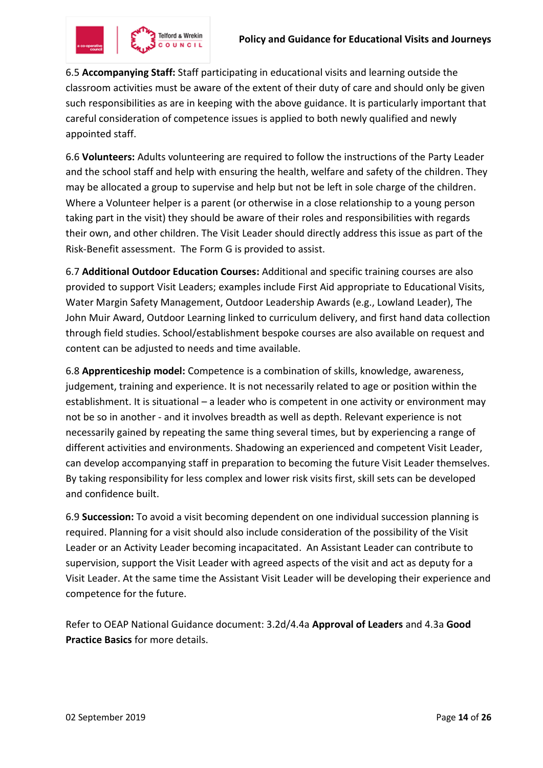

6.5 **Accompanying Staff:** Staff participating in educational visits and learning outside the classroom activities must be aware of the extent of their duty of care and should only be given such responsibilities as are in keeping with the above guidance. It is particularly important that careful consideration of competence issues is applied to both newly qualified and newly appointed staff.

6.6 **Volunteers:** Adults volunteering are required to follow the instructions of the Party Leader and the school staff and help with ensuring the health, welfare and safety of the children. They may be allocated a group to supervise and help but not be left in sole charge of the children. Where a Volunteer helper is a parent (or otherwise in a close relationship to a young person taking part in the visit) they should be aware of their roles and responsibilities with regards their own, and other children. The Visit Leader should directly address this issue as part of the Risk-Benefit assessment. The Form G is provided to assist.

6.7 **Additional Outdoor Education Courses:** Additional and specific training courses are also provided to support Visit Leaders; examples include First Aid appropriate to Educational Visits, Water Margin Safety Management, Outdoor Leadership Awards (e.g., Lowland Leader), The John Muir Award, Outdoor Learning linked to curriculum delivery, and first hand data collection through field studies. School/establishment bespoke courses are also available on request and content can be adjusted to needs and time available.

6.8 **Apprenticeship model:** Competence is a combination of skills, knowledge, awareness, judgement, training and experience. It is not necessarily related to age or position within the establishment. It is situational – a leader who is competent in one activity or environment may not be so in another - and it involves breadth as well as depth. Relevant experience is not necessarily gained by repeating the same thing several times, but by experiencing a range of different activities and environments. Shadowing an experienced and competent Visit Leader, can develop accompanying staff in preparation to becoming the future Visit Leader themselves. By taking responsibility for less complex and lower risk visits first, skill sets can be developed and confidence built.

6.9 **Succession:** To avoid a visit becoming dependent on one individual succession planning is required. Planning for a visit should also include consideration of the possibility of the Visit Leader or an Activity Leader becoming incapacitated. An Assistant Leader can contribute to supervision, support the Visit Leader with agreed aspects of the visit and act as deputy for a Visit Leader. At the same time the Assistant Visit Leader will be developing their experience and competence for the future.

Refer to OEAP National Guidance document: 3.2d/4.4a **Approval of Leaders** and 4.3a **Good Practice Basics** for more details.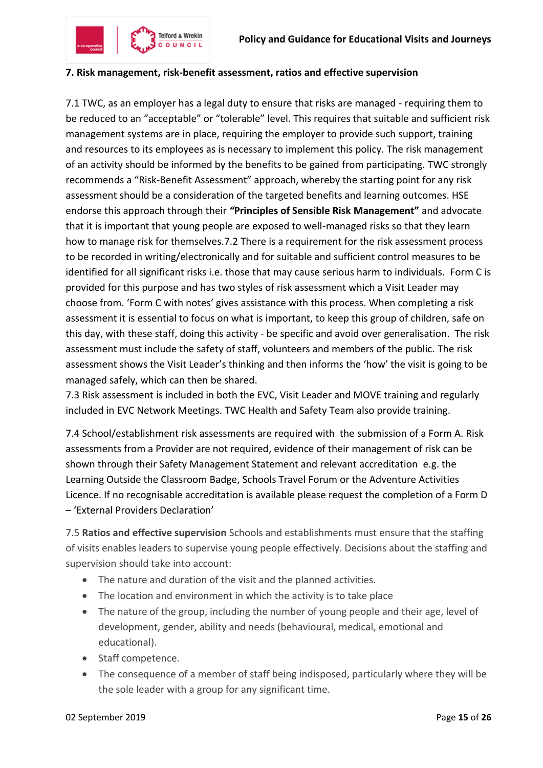

#### **7. Risk management, risk-benefit assessment, ratios and effective supervision**

7.1 TWC, as an employer has a legal duty to ensure that risks are managed - requiring them to be reduced to an "acceptable" or "tolerable" level. This requires that suitable and sufficient risk management systems are in place, requiring the employer to provide such support, training and resources to its employees as is necessary to implement this policy. The risk management of an activity should be informed by the benefits to be gained from participating. TWC strongly recommends a "Risk-Benefit Assessment" approach, whereby the starting point for any risk assessment should be a consideration of the targeted benefits and learning outcomes. HSE endorse this approach through their *"***Principles of Sensible Risk Management"** and advocate that it is important that young people are exposed to well-managed risks so that they learn how to manage risk for themselves.7.2 There is a requirement for the risk assessment process to be recorded in writing/electronically and for suitable and sufficient control measures to be identified for all significant risks i.e. those that may cause serious harm to individuals. Form C is provided for this purpose and has two styles of risk assessment which a Visit Leader may choose from. 'Form C with notes' gives assistance with this process. When completing a risk assessment it is essential to focus on what is important, to keep this group of children, safe on this day, with these staff, doing this activity - be specific and avoid over generalisation. The risk assessment must include the safety of staff, volunteers and members of the public. The risk assessment shows the Visit Leader's thinking and then informs the 'how' the visit is going to be managed safely, which can then be shared.

7.3 Risk assessment is included in both the EVC, Visit Leader and MOVE training and regularly included in EVC Network Meetings. TWC Health and Safety Team also provide training.

7.4 School/establishment risk assessments are required with the submission of a Form A. Risk assessments from a Provider are not required, evidence of their management of risk can be shown through their Safety Management Statement and relevant accreditation e.g. the Learning Outside the Classroom Badge, Schools Travel Forum or the Adventure Activities Licence. If no recognisable accreditation is available please request the completion of a Form D – 'External Providers Declaration'

7.5 **Ratios and effective supervision** Schools and establishments must ensure that the staffing of visits enables leaders to supervise young people effectively. Decisions about the staffing and supervision should take into account:

- The nature and duration of the visit and the planned activities.
- The location and environment in which the activity is to take place
- The nature of the group, including the number of young people and their age, level of development, gender, ability and needs (behavioural, medical, emotional and educational).
- Staff competence.
- The consequence of a member of staff being indisposed, particularly where they will be the sole leader with a group for any significant time.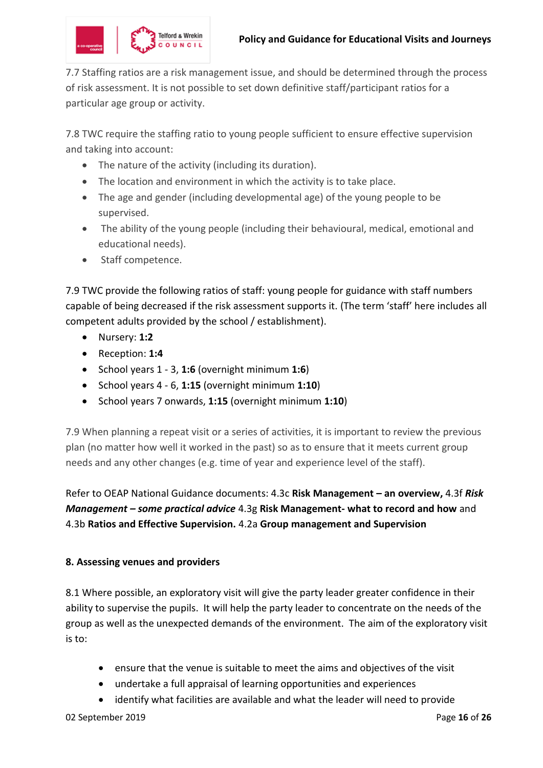7.7 Staffing ratios are a risk management issue, and should be determined through the process of risk assessment. It is not possible to set down definitive staff/participant ratios for a particular age group or activity.

7.8 TWC require the staffing ratio to young people sufficient to ensure effective supervision and taking into account:

- The nature of the activity (including its duration).
- The location and environment in which the activity is to take place.
- The age and gender (including developmental age) of the young people to be supervised.
- The ability of the young people (including their behavioural, medical, emotional and educational needs).
- Staff competence.

7.9 TWC provide the following ratios of staff: young people for guidance with staff numbers capable of being decreased if the risk assessment supports it. (The term 'staff' here includes all competent adults provided by the school / establishment).

- Nursery: **1:2**
- Reception: **1:4**
- School years 1 3, **1:6** (overnight minimum **1:6**)
- School years 4 6, **1:15** (overnight minimum **1:10**)
- School years 7 onwards, **1:15** (overnight minimum **1:10**)

7.9 When planning a repeat visit or a series of activities, it is important to review the previous plan (no matter how well it worked in the past) so as to ensure that it meets current group needs and any other changes (e.g. time of year and experience level of the staff).

Refer to OEAP National Guidance documents: 4.3c **Risk Management – an overview,** 4.3f *Risk Management – some practical advice* 4.3g **Risk Management- what to record and how** and 4.3b **Ratios and Effective Supervision.** 4.2a **Group management and Supervision**

#### **8. Assessing venues and providers**

8.1 Where possible, an exploratory visit will give the party leader greater confidence in their ability to supervise the pupils. It will help the party leader to concentrate on the needs of the group as well as the unexpected demands of the environment. The aim of the exploratory visit is to:

- ensure that the venue is suitable to meet the aims and objectives of the visit
- undertake a full appraisal of learning opportunities and experiences
- identify what facilities are available and what the leader will need to provide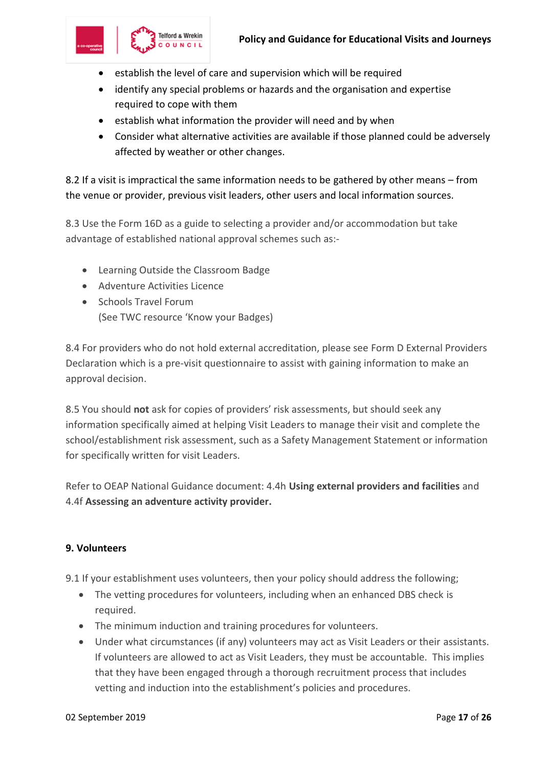

- establish the level of care and supervision which will be required
- identify any special problems or hazards and the organisation and expertise required to cope with them
- establish what information the provider will need and by when
- Consider what alternative activities are available if those planned could be adversely affected by weather or other changes.

8.2 If a visit is impractical the same information needs to be gathered by other means – from the venue or provider, previous visit leaders, other users and local information sources.

8.3 Use the Form 16D as a guide to selecting a provider and/or accommodation but take advantage of established national approval schemes such as:-

- Learning Outside the Classroom Badge
- Adventure Activities Licence
- Schools Travel Forum (See TWC resource 'Know your Badges)

8.4 For providers who do not hold external accreditation, please see Form D External Providers Declaration which is a pre-visit questionnaire to assist with gaining information to make an approval decision.

8.5 You should **not** ask for copies of providers' risk assessments, but should seek any information specifically aimed at helping Visit Leaders to manage their visit and complete the school/establishment risk assessment, such as a Safety Management Statement or information for specifically written for visit Leaders.

Refer to OEAP National Guidance document: 4.4h **Using external providers and facilities** and 4.4f **Assessing an adventure activity provider.**

# **9. Volunteers**

9.1 If your establishment uses volunteers, then your policy should address the following;

- The vetting procedures for volunteers, including when an enhanced DBS check is required.
- The minimum induction and training procedures for volunteers.
- Under what circumstances (if any) volunteers may act as Visit Leaders or their assistants. If volunteers are allowed to act as Visit Leaders, they must be accountable. This implies that they have been engaged through a thorough recruitment process that includes vetting and induction into the establishment's policies and procedures.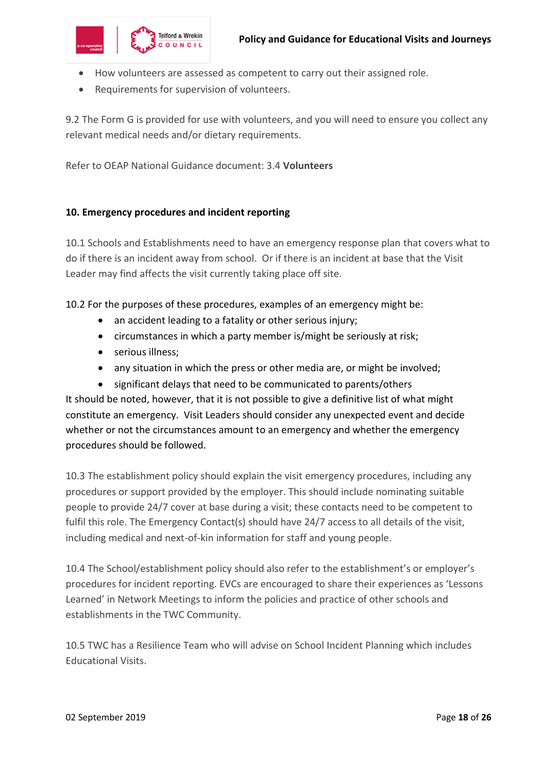

- How volunteers are assessed as competent to carry out their assigned role.
- Requirements for supervision of volunteers.

9.2 The Form G is provided for use with volunteers, and you will need to ensure you collect any relevant medical needs and/or dietary requirements.

Refer to OEAP National Guidance document: 3.4 **Volunteers**

#### **10. Emergency procedures and incident reporting**

10.1 Schools and Establishments need to have an emergency response plan that covers what to do if there is an incident away from school. Or if there is an incident at base that the Visit Leader may find affects the visit currently taking place off site.

10.2 For the purposes of these procedures, examples of an emergency might be:

- an accident leading to a fatality or other serious injury;
- circumstances in which a party member is/might be seriously at risk;
- serious illness;
- any situation in which the press or other media are, or might be involved;
- significant delays that need to be communicated to parents/others

It should be noted, however, that it is not possible to give a definitive list of what might constitute an emergency. Visit Leaders should consider any unexpected event and decide whether or not the circumstances amount to an emergency and whether the emergency procedures should be followed.

10.3 The establishment policy should explain the visit emergency procedures, including any procedures or support provided by the employer. This should include nominating suitable people to provide 24/7 cover at base during a visit; these contacts need to be competent to fulfil this role. The Emergency Contact(s) should have 24/7 access to all details of the visit, including medical and next-of-kin information for staff and young people.

10.4 The School/establishment policy should also refer to the establishment's or employer's procedures for incident reporting. EVCs are encouraged to share their experiences as 'Lessons Learned' in Network Meetings to inform the policies and practice of other schools and establishments in the TWC Community.

10.5 TWC has a Resilience Team who will advise on School Incident Planning which includes Educational Visits.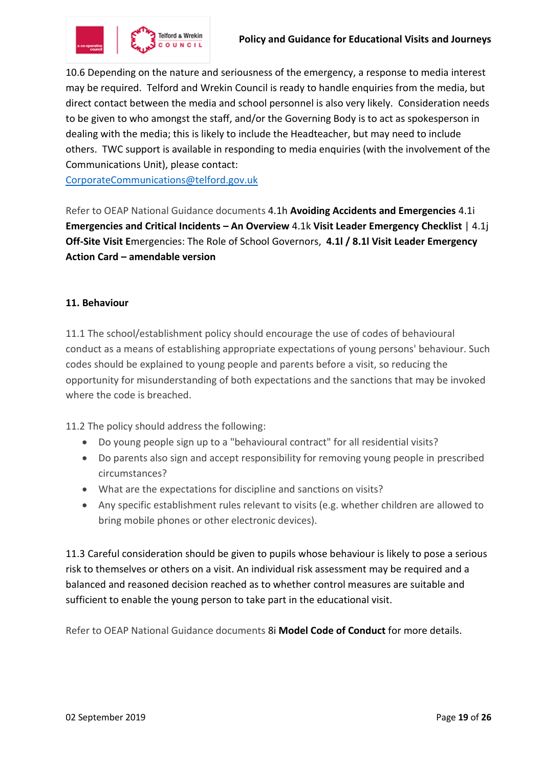

10.6 Depending on the nature and seriousness of the emergency, a response to media interest may be required. Telford and Wrekin Council is ready to handle enquiries from the media, but direct contact between the media and school personnel is also very likely. Consideration needs to be given to who amongst the staff, and/or the Governing Body is to act as spokesperson in dealing with the media; this is likely to include the Headteacher, but may need to include others. TWC support is available in responding to media enquiries (with the involvement of the Communications Unit), please contact:

[CorporateCommunications@telford.gov.uk](mailto:CorporateCommunications@telford.gov.uk)

Refer to OEAP National Guidance documents 4.1h **[Avoiding Accidents and Emergencies](https://oeapng.info/downloads/download-info/4-1h-avoiding-accidents-and-emergencies/)** [4.1i](https://oeapng.info/downloads/download-info/4-1i-emergencies-and-critical-incidents-an-overview/)  **[Emergencies and Critical Incidents](https://oeapng.info/downloads/download-info/4-1i-emergencies-and-critical-incidents-an-overview/) – An Overview** 4.1k **[Visit Leader Emergency](https://oeapng.info/downloads/download-info/4-1k-visit-leader-emergency-checklist/) Checklist** | [4.1j](https://oeapng.info/downloads/download-info/4-1j-off-site-visit-emergencies-the-role-of-school-governors/)  **Off-Site Visit E**[mergencies: The Role of School Governors,](https://oeapng.info/downloads/download-info/4-1j-off-site-visit-emergencies-the-role-of-school-governors/) **[4.1l / 8.1l Visit Leader Emergency](https://oeapng.info/downloads/download-info/4-1l-8-1l-visit-leader-emergency-action-card-amendable-version/)  Action Card – [amendable version](https://oeapng.info/downloads/download-info/4-1l-8-1l-visit-leader-emergency-action-card-amendable-version/)**

#### **11. Behaviour**

11.1 The school/establishment policy should encourage the use of codes of behavioural conduct as a means of establishing appropriate expectations of young persons' behaviour. Such codes should be explained to young people and parents before a visit, so reducing the opportunity for misunderstanding of both expectations and the sanctions that may be invoked where the code is breached.

11.2 The policy should address the following:

- Do young people sign up to a "behavioural contract" for all residential visits?
- Do parents also sign and accept responsibility for removing young people in prescribed circumstances?
- What are the expectations for discipline and sanctions on visits?
- Any specific establishment rules relevant to visits (e.g. whether children are allowed to bring mobile phones or other electronic devices).

11.3 Careful consideration should be given to pupils whose behaviour is likely to pose a serious risk to themselves or others on a visit. An individual risk assessment may be required and a balanced and reasoned decision reached as to whether control measures are suitable and sufficient to enable the young person to take part in the educational visit.

Refer to OEAP National Guidance documents 8i **Model Code of Conduct** for more details.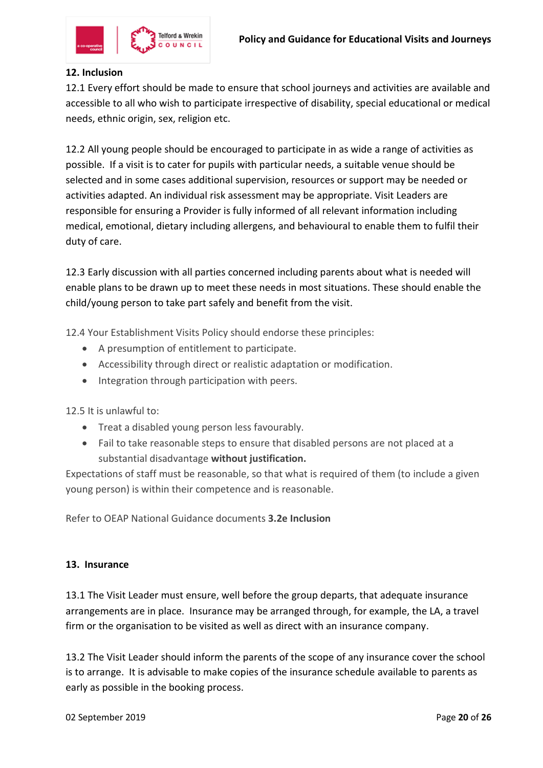

# **12. Inclusion**

12.1 Every effort should be made to ensure that school journeys and activities are available and accessible to all who wish to participate irrespective of disability, special educational or medical needs, ethnic origin, sex, religion etc.

12.2 All young people should be encouraged to participate in as wide a range of activities as possible. If a visit is to cater for pupils with particular needs, a suitable venue should be selected and in some cases additional supervision, resources or support may be needed or activities adapted. An individual risk assessment may be appropriate. Visit Leaders are responsible for ensuring a Provider is fully informed of all relevant information including medical, emotional, dietary including allergens, and behavioural to enable them to fulfil their duty of care.

12.3 Early discussion with all parties concerned including parents about what is needed will enable plans to be drawn up to meet these needs in most situations. These should enable the child/young person to take part safely and benefit from the visit.

12.4 Your Establishment Visits Policy should endorse these principles:

- A presumption of entitlement to participate.
- Accessibility through direct or realistic adaptation or modification.
- Integration through participation with peers.

12.5 It is unlawful to:

- Treat a disabled young person less favourably.
- Fail to take reasonable steps to ensure that disabled persons are not placed at a substantial disadvantage **without justification.**

Expectations of staff must be reasonable, so that what is required of them (to include a given young person) is within their competence and is reasonable.

Refer to OEAP National Guidance documents **3.2e Inclusion**

#### **13. Insurance**

13.1 The Visit Leader must ensure, well before the group departs, that adequate insurance arrangements are in place. Insurance may be arranged through, for example, the LA, a travel firm or the organisation to be visited as well as direct with an insurance company.

13.2 The Visit Leader should inform the parents of the scope of any insurance cover the school is to arrange. It is advisable to make copies of the insurance schedule available to parents as early as possible in the booking process.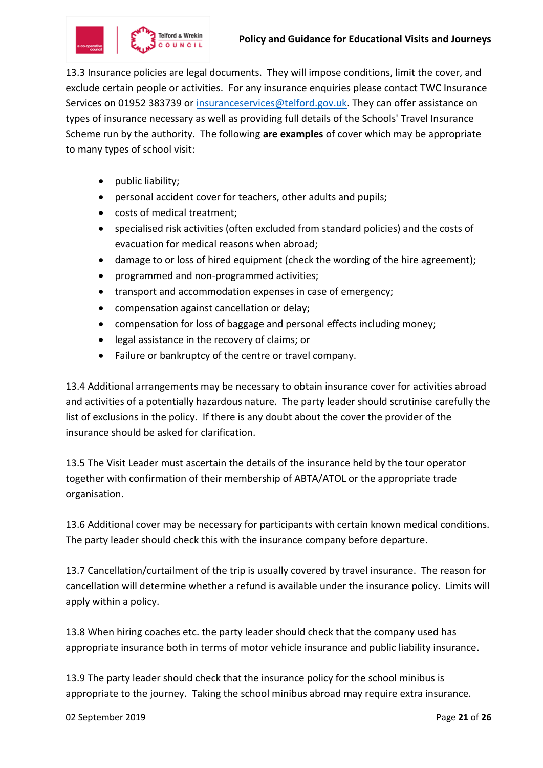13.3 Insurance policies are legal documents. They will impose conditions, limit the cover, and exclude certain people or activities. For any insurance enquiries please contact TWC Insurance Services on 01952 383739 or [insuranceservices@telford.gov.uk.](mailto:insuranceservices@telford.gov.uk) They can offer assistance on types of insurance necessary as well as providing full details of the Schools' Travel Insurance Scheme run by the authority. The following **are examples** of cover which may be appropriate to many types of school visit:

- public liability;
- personal accident cover for teachers, other adults and pupils;
- costs of medical treatment;
- specialised risk activities (often excluded from standard policies) and the costs of evacuation for medical reasons when abroad;
- damage to or loss of hired equipment (check the wording of the hire agreement);
- programmed and non-programmed activities;
- transport and accommodation expenses in case of emergency;
- compensation against cancellation or delay;
- compensation for loss of baggage and personal effects including money;
- legal assistance in the recovery of claims; or
- Failure or bankruptcy of the centre or travel company.

13.4 Additional arrangements may be necessary to obtain insurance cover for activities abroad and activities of a potentially hazardous nature. The party leader should scrutinise carefully the list of exclusions in the policy. If there is any doubt about the cover the provider of the insurance should be asked for clarification.

13.5 The Visit Leader must ascertain the details of the insurance held by the tour operator together with confirmation of their membership of ABTA/ATOL or the appropriate trade organisation.

13.6 Additional cover may be necessary for participants with certain known medical conditions. The party leader should check this with the insurance company before departure.

13.7 Cancellation/curtailment of the trip is usually covered by travel insurance. The reason for cancellation will determine whether a refund is available under the insurance policy. Limits will apply within a policy.

13.8 When hiring coaches etc. the party leader should check that the company used has appropriate insurance both in terms of motor vehicle insurance and public liability insurance.

13.9 The party leader should check that the insurance policy for the school minibus is appropriate to the journey. Taking the school minibus abroad may require extra insurance.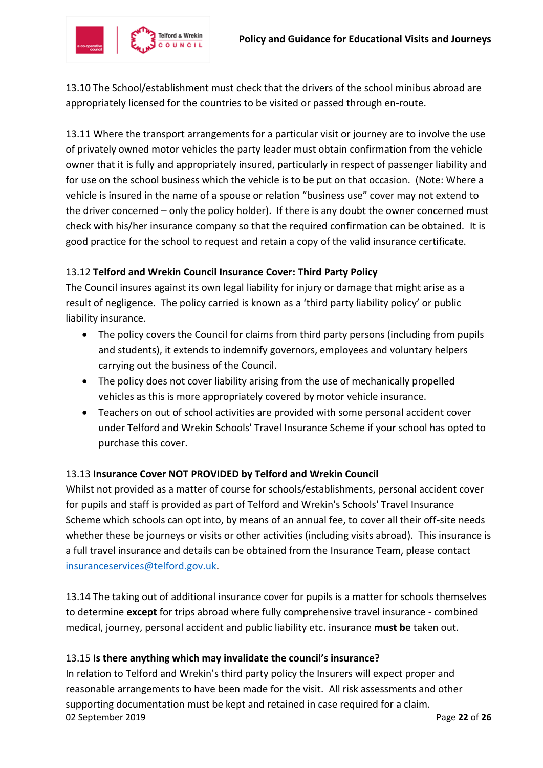

13.10 The School/establishment must check that the drivers of the school minibus abroad are appropriately licensed for the countries to be visited or passed through en-route.

13.11 Where the transport arrangements for a particular visit or journey are to involve the use of privately owned motor vehicles the party leader must obtain confirmation from the vehicle owner that it is fully and appropriately insured, particularly in respect of passenger liability and for use on the school business which the vehicle is to be put on that occasion. (Note: Where a vehicle is insured in the name of a spouse or relation "business use" cover may not extend to the driver concerned – only the policy holder). If there is any doubt the owner concerned must check with his/her insurance company so that the required confirmation can be obtained. It is good practice for the school to request and retain a copy of the valid insurance certificate.

# 13.12 **Telford and Wrekin Council Insurance Cover: Third Party Policy**

The Council insures against its own legal liability for injury or damage that might arise as a result of negligence. The policy carried is known as a 'third party liability policy' or public liability insurance.

- The policy covers the Council for claims from third party persons (including from pupils and students), it extends to indemnify governors, employees and voluntary helpers carrying out the business of the Council.
- The policy does not cover liability arising from the use of mechanically propelled vehicles as this is more appropriately covered by motor vehicle insurance.
- Teachers on out of school activities are provided with some personal accident cover under Telford and Wrekin Schools' Travel Insurance Scheme if your school has opted to purchase this cover.

# 13.13 **Insurance Cover NOT PROVIDED by Telford and Wrekin Council**

Whilst not provided as a matter of course for schools/establishments, personal accident cover for pupils and staff is provided as part of Telford and Wrekin's Schools' Travel Insurance Scheme which schools can opt into, by means of an annual fee, to cover all their off-site needs whether these be journeys or visits or other activities (including visits abroad). This insurance is a full travel insurance and details can be obtained from the Insurance Team, please contact [insuranceservices@telford.gov.uk.](mailto:insuranceservices@telford.gov.uk)

13.14 The taking out of additional insurance cover for pupils is a matter for schools themselves to determine **except** for trips abroad where fully comprehensive travel insurance - combined medical, journey, personal accident and public liability etc. insurance **must be** taken out.

#### 13.15 **Is there anything which may invalidate the council's insurance?**

02 September 2019 Page **22** of **26** In relation to Telford and Wrekin's third party policy the Insurers will expect proper and reasonable arrangements to have been made for the visit. All risk assessments and other supporting documentation must be kept and retained in case required for a claim.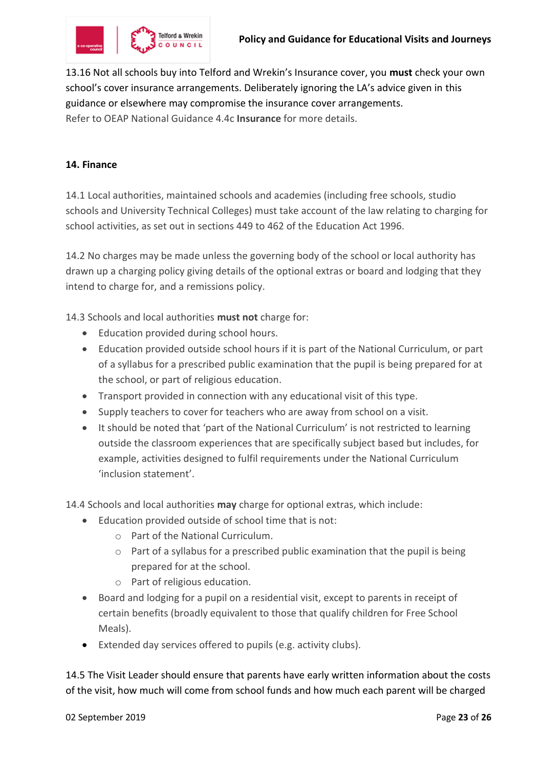

13.16 Not all schools buy into Telford and Wrekin's Insurance cover, you **must** check your own school's cover insurance arrangements. Deliberately ignoring the LA's advice given in this guidance or elsewhere may compromise the insurance cover arrangements. Refer to OEAP National Guidance 4.4c **Insurance** for more details.

#### **14. Finance**

14.1 Local authorities, maintained schools and academies (including free schools, studio schools and University Technical Colleges) must take account of the law relating to charging for school activities, as set out in sections 449 to 462 of the Education Act 1996.

14.2 No charges may be made unless the governing body of the school or local authority has drawn up a charging policy giving details of the optional extras or board and lodging that they intend to charge for, and a remissions policy.

14.3 Schools and local authorities **must not** charge for:

- Education provided during school hours.
- Education provided outside school hours if it is part of the National Curriculum, or part of a syllabus for a prescribed public examination that the pupil is being prepared for at the school, or part of religious education.
- Transport provided in connection with any educational visit of this type.
- Supply teachers to cover for teachers who are away from school on a visit.
- It should be noted that 'part of the National Curriculum' is not restricted to learning outside the classroom experiences that are specifically subject based but includes, for example, activities designed to fulfil requirements under the National Curriculum 'inclusion statement'.

14.4 Schools and local authorities **may** charge for optional extras, which include:

- Education provided outside of school time that is not:
	- o Part of the National Curriculum.
	- o Part of a syllabus for a prescribed public examination that the pupil is being prepared for at the school.
	- o Part of religious education.
- Board and lodging for a pupil on a residential visit, except to parents in receipt of certain benefits (broadly equivalent to those that qualify children for Free School Meals).
- Extended day services offered to pupils (e.g. activity clubs).

14.5 The Visit Leader should ensure that parents have early written information about the costs of the visit, how much will come from school funds and how much each parent will be charged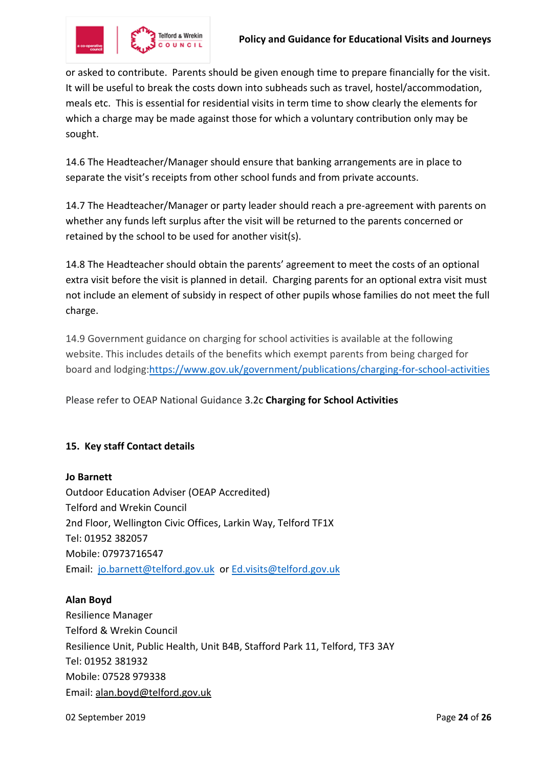

or asked to contribute. Parents should be given enough time to prepare financially for the visit. It will be useful to break the costs down into subheads such as travel, hostel/accommodation, meals etc. This is essential for residential visits in term time to show clearly the elements for which a charge may be made against those for which a voluntary contribution only may be sought.

14.6 The Headteacher/Manager should ensure that banking arrangements are in place to separate the visit's receipts from other school funds and from private accounts.

14.7 The Headteacher/Manager or party leader should reach a pre-agreement with parents on whether any funds left surplus after the visit will be returned to the parents concerned or retained by the school to be used for another visit(s).

14.8 The Headteacher should obtain the parents' agreement to meet the costs of an optional extra visit before the visit is planned in detail. Charging parents for an optional extra visit must not include an element of subsidy in respect of other pupils whose families do not meet the full charge.

14.9 Government guidance on charging for school activities is available at the following website. This includes details of the benefits which exempt parents from being charged for board and lodging[:https://www.gov.uk/government/publications/charging-for-school-activities](https://www.gov.uk/government/publications/charging-for-school-activities)

Please refer to OEAP National Guidance 3.2c **[Charging for School Activities](https://oeapng.info/downloads/download-info/3-2c-charges-for-off-site-activity/)**

# **15. Key staff Contact details**

#### **Jo Barnett**

Outdoor Education Adviser (OEAP Accredited) Telford and Wrekin Council 2nd Floor, Wellington Civic Offices, Larkin Way, Telford TF1X Tel: 01952 382057 Mobile: 07973716547 Email: [jo.barnett@telford.gov.uk](mailto:jo.barnett@telford.gov.uk) or [Ed.visits@telford.gov.uk](mailto:Ed.visits@telford.gov.uk)

#### **Alan Boyd**

Resilience Manager Telford & Wrekin Council Resilience Unit, Public Health, Unit B4B, Stafford Park 11, Telford, TF3 3AY Tel: 01952 381932 Mobile: 07528 979338 Email: [alan.boyd@telford.gov.uk](mailto:alan.boyd@telford.gov.uk)

02 September 2019 Page **24** of **26**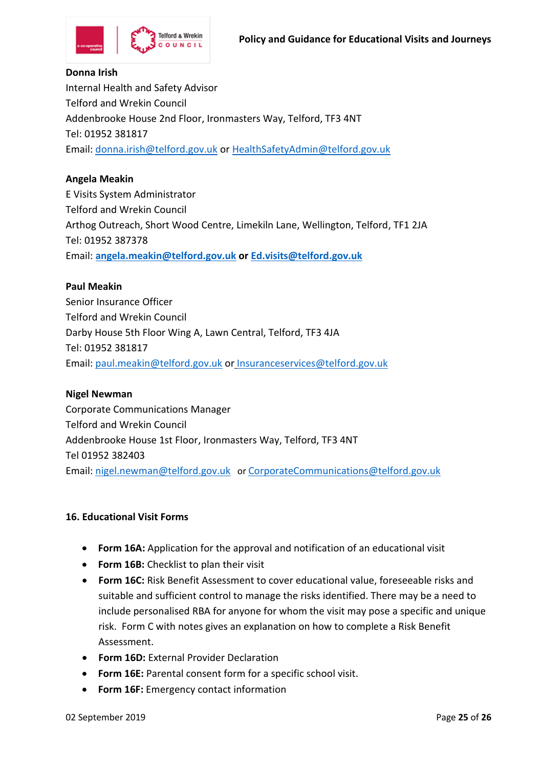

#### **Donna Irish**

Internal Health and Safety Advisor Telford and Wrekin Council Addenbrooke House 2nd Floor, Ironmasters Way, Telford, TF3 4NT Tel: 01952 381817 Email: [donna.irish@telford.gov.uk](mailto:donna.irish@telford.gov.uk) or [HealthSafetyAdmin@telford.gov.uk](mailto:HealthSafetyAdmin@telford.gov.uk)

#### **Angela Meakin**

E Visits System Administrator Telford and Wrekin Council Arthog Outreach, Short Wood Centre, Limekiln Lane, Wellington, Telford, TF1 2JA Tel: 01952 387378 Email: **[angela.meakin@telford.gov.uk](mailto:angela.meakin@telford.gov.uk) or [Ed.visits@telford.gov.uk](mailto:Ed.visits@telford.gov.uk)**

#### **Paul Meakin**

Senior Insurance Officer Telford and Wrekin Council Darby House 5th Floor Wing A, Lawn Central, Telford, TF3 4JA Tel: 01952 381817 Email: [paul.meakin@telford.gov.uk](mailto:paul.meakin@telford.gov.uk) or Insuranceservices@telford.gov.uk

#### **Nigel Newman**

Corporate Communications Manager Telford and Wrekin Council Addenbrooke House 1st Floor, Ironmasters Way, Telford, TF3 4NT Tel 01952 382403 Email: [nigel.newman@telford.gov.uk](mailto:nigel.newman@telford.gov.uk) or CorporateCommunications@telford.gov.uk

#### **16. Educational Visit Forms**

- **Form 16A:** Application for the approval and notification of an educational visit
- **Form 16B:** Checklist to plan their visit
- **Form 16C:** Risk Benefit Assessment to cover educational value, foreseeable risks and suitable and sufficient control to manage the risks identified. There may be a need to include personalised RBA for anyone for whom the visit may pose a specific and unique risk. Form C with notes gives an explanation on how to complete a Risk Benefit Assessment.
- **Form 16D:** External Provider Declaration
- **Form 16E:** Parental consent form for a specific school visit.
- **Form 16F:** Emergency contact information